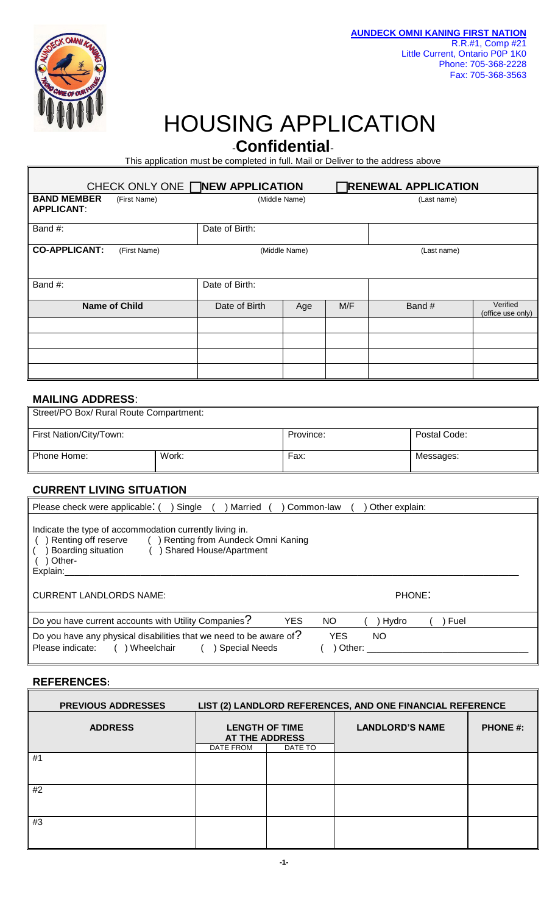

## HOUSING APPLICATION

-**Confidential**-

This application must be completed in full. Mail or Deliver to the address above

| CHECK ONLY ONE <b>NEW APPLICATION</b>   |                      |                              |     |     | <b>RENEWAL APPLICATION</b> |                               |  |
|-----------------------------------------|----------------------|------------------------------|-----|-----|----------------------------|-------------------------------|--|
| <b>BAND MEMBER</b><br><b>APPLICANT:</b> | (First Name)         | (Middle Name)                |     |     | (Last name)                |                               |  |
| Band #:                                 |                      | Date of Birth:               |     |     |                            |                               |  |
| <b>CO-APPLICANT:</b>                    | (First Name)         | (Middle Name)<br>(Last name) |     |     |                            |                               |  |
| Band #:                                 |                      | Date of Birth:               |     |     |                            |                               |  |
|                                         | <b>Name of Child</b> | Date of Birth                | Age | M/F | Band #                     | Verified<br>(office use only) |  |
|                                         |                      |                              |     |     |                            |                               |  |
|                                         |                      |                              |     |     |                            |                               |  |
|                                         |                      |                              |     |     |                            |                               |  |

## **MAILING ADDRESS**:

| Street/PO Box/ Rural Route Compartment: |       |           |              |  |
|-----------------------------------------|-------|-----------|--------------|--|
| First Nation/City/Town:                 |       | Province: | Postal Code: |  |
| Phone Home:                             | Work: | Fax:      | Messages:    |  |

## **CURRENT LIVING SITUATION**

| Single<br>Other explain:<br>Please check were applicable: (<br>Married<br>Common-law                                                                                                            |
|-------------------------------------------------------------------------------------------------------------------------------------------------------------------------------------------------|
| Indicate the type of accommodation currently living in.<br>Renting from Aundeck Omni Kaning<br>Renting off reserve<br>Boarding situation<br><b>Shared House/Apartment</b><br>Other-<br>Explain: |
| <b>CURRENT LANDLORDS NAME:</b><br>PHONE:                                                                                                                                                        |
| Do you have current accounts with Utility Companies?<br><b>YES</b><br>NO.<br>Fuel<br>Hydro                                                                                                      |
| Do you have any physical disabilities that we need to be aware of?<br><b>YES</b><br>NO.<br>Please indicate:<br>Wheelchair<br>Other:<br><b>Special Needs</b>                                     |

## **REFERENCES:**

|    | LIST (2) LANDLORD REFERENCES, AND ONE FINANCIAL REFERENCE<br><b>PREVIOUS ADDRESSES</b> |                                                |         |                        |                 |
|----|----------------------------------------------------------------------------------------|------------------------------------------------|---------|------------------------|-----------------|
|    | <b>ADDRESS</b>                                                                         | <b>LENGTH OF TIME</b><br><b>AT THE ADDRESS</b> |         | <b>LANDLORD'S NAME</b> | <b>PHONE #:</b> |
|    |                                                                                        | DATE FROM                                      | DATE TO |                        |                 |
| #1 |                                                                                        |                                                |         |                        |                 |
| #2 |                                                                                        |                                                |         |                        |                 |
| #3 |                                                                                        |                                                |         |                        |                 |